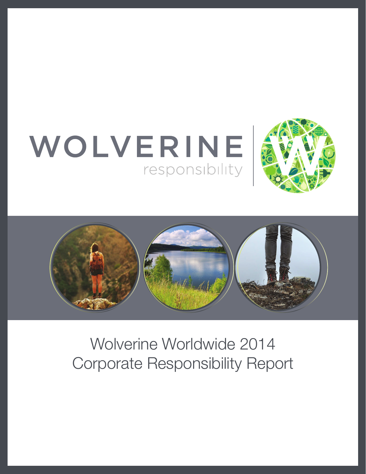





Wolverine Worldwide 2014 Corporate Responsibility Report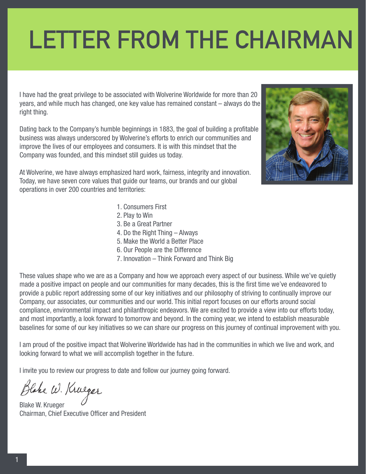# **LETTER FROM THE CHAIRMAN**

I have had the great privilege to be associated with Wolverine Worldwide for more than 20 years, and while much has changed, one key value has remained constant – always do the right thing.

Dating back to the Company's humble beginnings in 1883, the goal of building a profitable business was always underscored by Wolverine's efforts to enrich our communities and improve the lives of our employees and consumers. It is with this mindset that the Company was founded, and this mindset still guides us today.

At Wolverine, we have always emphasized hard work, fairness, integrity and innovation. Today, we have seven core values that guide our teams, our brands and our global operations in over 200 countries and territories:

- 1. Consumers First
- 2. Play to Win
- 3. Be a Great Partner
- 4. Do the Right Thing Always
- 5. Make the World a Better Place
- 6. Our People are the Difference
- 7. Innovation Think Forward and Think Big

These values shape who we are as a Company and how we approach every aspect of our business. While we've quietly made a positive impact on people and our communities for many decades, this is the first time we've endeavored to provide a public report addressing some of our key initiatives and our philosophy of striving to continually improve our Company, our associates, our communities and our world. This initial report focuses on our efforts around social compliance, environmental impact and philanthropic endeavors. We are excited to provide a view into our efforts today, and most importantly, a look forward to tomorrow and beyond. In the coming year, we intend to establish measurable baselines for some of our key initiatives so we can share our progress on this journey of continual improvement with you.

I am proud of the positive impact that Wolverine Worldwide has had in the communities in which we live and work, and looking forward to what we will accomplish together in the future.

I invite you to review our progress to date and follow our journey going forward.

Blake W. Krueger

Blake W. Krueger Chairman, Chief Executive Officer and President

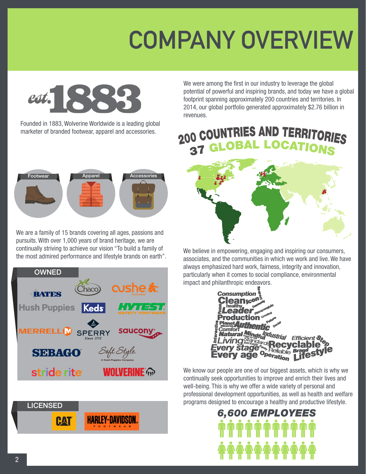

Founded in 1883, Wolverine Worldwide is a leading global marketer of branded footwear, apparel and accessories.



We are a family of 15 brands covering all ages, passions and pursuits. With over 1,000 years of brand heritage, we are continually striving to achieve our vision "To build a family of the most admired performance and lifestyle brands on earth".





We were among the first in our industry to leverage the global potential of powerful and inspiring brands, and today we have a global footprint spanning approximately 200 countries and territories. In 2014, our global portfolio generated approximately \$2.76 billion in revenues.



We believe in empowering, engaging and inspiring our consumers, associates, and the communities in which we work and live. We have always emphasized hard work, fairness, integrity and innovation, particularly when it comes to social compliance, environmental impact and philanthropic endeavors.



We know our people are one of our biggest assets, which is why we continually seek opportunities to improve and enrich their lives and well-being. This is why we offer a wide variety of personal and professional development opportunities, as well as health and welfare programs designed to encourage a healthy and productive lifestyle.

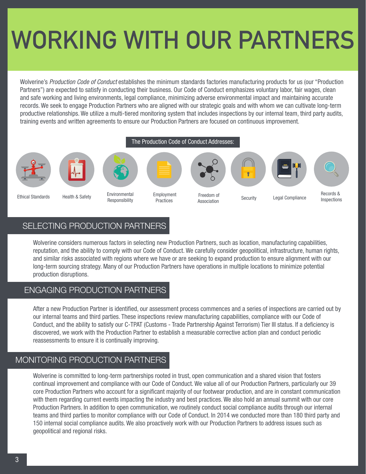# **WORKING WITH OUR PARTNERS**

Wolverine's *Production Code of Conduct* establishes the minimum standards factories manufacturing products for us (our "Production Partners") are expected to satisfy in conducting their business. Our Code of Conduct emphasizes voluntary labor, fair wages, clean and safe working and living environments, legal compliance, minimizing adverse environmental impact and maintaining accurate records. We seek to engage Production Partners who are aligned with our strategic goals and with whom we can cultivate long-term productive relationships. We utilize a multi-tiered monitoring system that includes inspections by our internal team, third party audits, training events and written agreements to ensure our Production Partners are focused on continuous improvement.



## SELECTING PRODUCTION PARTNERS

Wolverine considers numerous factors in selecting new Production Partners, such as location, manufacturing capabilities, reputation, and the ability to comply with our Code of Conduct. We carefully consider geopolitical, infrastructure, human rights, and similar risks associated with regions where we have or are seeking to expand production to ensure alignment with our long-term sourcing strategy. Many of our Production Partners have operations in multiple locations to minimize potential production disruptions.

### ENGAGING PRODUCTION PARTNERS

After a new Production Partner is identified, our assessment process commences and a series of inspections are carried out by our internal teams and third parties. These inspections review manufacturing capabilities, compliance with our Code of Conduct, and the ability to satisfy our C-TPAT (Customs - Trade Partnership Against Terrorism) Tier III status. If a deficiency is discovered, we work with the Production Partner to establish a measurable corrective action plan and conduct periodic reassessments to ensure it is continually improving.

### MONITORING PRODUCTION PARTNERS

Wolverine is committed to long-term partnerships rooted in trust, open communication and a shared vision that fosters continual improvement and compliance with our Code of Conduct. We value all of our Production Partners, particularly our 39 core Production Partners who account for a significant majority of our footwear production, and are in constant communication with them regarding current events impacting the industry and best practices. We also hold an annual summit with our core Production Partners. In addition to open communication, we routinely conduct social compliance audits through our internal teams and third parties to monitor compliance with our Code of Conduct. In 2014 we conducted more than 180 third party and 150 internal social compliance audits. We also proactively work with our Production Partners to address issues such as geopolitical and regional risks.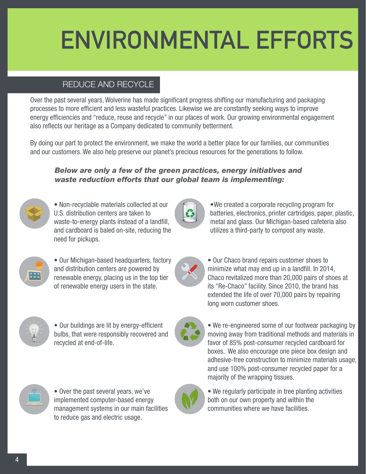# **ENVIRONMENTAL EFFORTS**

# REDUCE AND RECYCLE

Over the past several years, Wolverine has made significant progress shifting our manufacturing and packaging processes to more efficient and less wasteful practices. Likewise we are constantly seeking ways to improve energy efficiencies and "reduce, reuse and recycle" in our places of work. Our growing environmental engagement also reflects our heritage as a Company dedicated to community betterment.

By doing our part to protect the environment, we make the world a better place for our families, our communities and our customers. We also help preserve our planet's precious resources for the generations to follow.

#### *Below are only a few of the green practices, energy initiatives and waste reduction efforts that our global team is implementing:*



• Non-recyclable materials collected at our U.S. distribution centers are taken to waste-to-energy plants instead of a landfill, and cardboard is baled on-site, reducing the need for pickups.



•We created a corporate recycling program for batteries, electronics, printer cartridges, paper, plastic,



• Our Michigan-based headquarters, factory and distribution centers are powered by renewable energy, placing us in the top tier of renewable energy users in the state.



• Our buildings are lit by energy-efficient bulbs, that were responsibly recovered and recycled at end-of-life.



• Over the past several years, we've implemented computer-based energy management systems in our main facilities to reduce gas and electric usage.



• We re-engineered some of our footwear packaging by moving away from traditional methods and materials in favor of 85% post-consumer recycled cardboard for boxes. We also encourage one piece box design and adhesive-free construction to minimize materials usage, and use 100% post-consumer recycled paper for a majority of the wrapping tissues.



• We regularly participate in tree planting activities both on our own property and within the communities where we have facilities.

metal and glass. Our Michigan-based cafeteria also utilizes a third-party to compost any waste.

• Our Chaco brand repairs customer shoes to minimize what may end up in a landfill. In 2014, Chaco revitalized more than 20,000 pairs of shoes at its "Re-Chaco" facility. Since 2010, the brand has extended the life of over 70,000 pairs by repairing long worn customer shoes.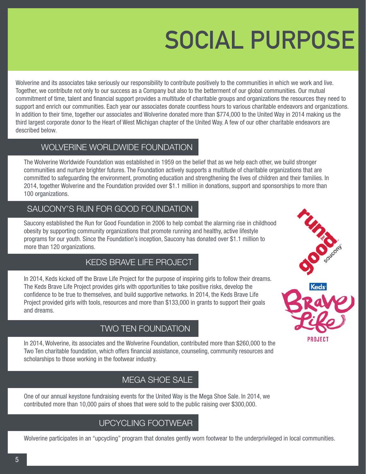# **SOCIAL PURPOSE**

Wolverine and its associates take seriously our responsibility to contribute positively to the communities in which we work and live. Together, we contribute not only to our success as a Company but also to the betterment of our global communities. Our mutual commitment of time, talent and financial support provides a multitude of charitable groups and organizations the resources they need to support and enrich our communities. Each year our associates donate countless hours to various charitable endeavors and organizations. In addition to their time, together our associates and Wolverine donated more than \$774,000 to the United Way in 2014 making us the third largest corporate donor to the Heart of West Michigan chapter of the United Way. A few of our other charitable endeavors are described below.

# WOLVERINE WORLDWIDE FOUNDATION

The Wolverine Worldwide Foundation was established in 1959 on the belief that as we help each other, we build stronger communities and nurture brighter futures. The Foundation actively supports a multitude of charitable organizations that are committed to safeguarding the environment, promoting education and strengthening the lives of children and their families. In 2014, together Wolverine and the Foundation provided over \$1.1 million in donations, support and sponsorships to more than 100 organizations.

### SAUCONY'S RUN FOR GOOD FOUNDATION

Saucony established the Run for Good Foundation in 2006 to help combat the alarming rise in childhood obesity by supporting community organizations that promote running and healthy, active lifestyle programs for our youth. Since the Foundation's inception, Saucony has donated over \$1.1 million to more than 120 organizations.

## KEDS BRAVE LIFE PROJECT

In 2014, Keds kicked off the Brave Life Project for the purpose of inspiring girls to follow their dreams. The Keds Brave Life Project provides girls with opportunities to take positive risks, develop the confidence to be true to themselves, and build supportive networks. In 2014, the Keds Brave Life Project provided girls with tools, resources and more than \$133,000 in grants to support their goals and dreams.

## TWO TEN FOUNDATION

In 2014, Wolverine, its associates and the Wolverine Foundation, contributed more than \$260,000 to the Two Ten charitable foundation, which offers financial assistance, counseling, community resources and scholarships to those working in the footwear industry.

## MEGA SHOE SALE

One of our annual keystone fundraising events for the United Way is the Mega Shoe Sale. In 2014, we contributed more than 10,000 pairs of shoes that were sold to the public raising over \$300,000.

# UPCYCLING FOOTWEAR

Wolverine participates in an "upcycling" program that donates gently worn footwear to the underprivileged in local communities.